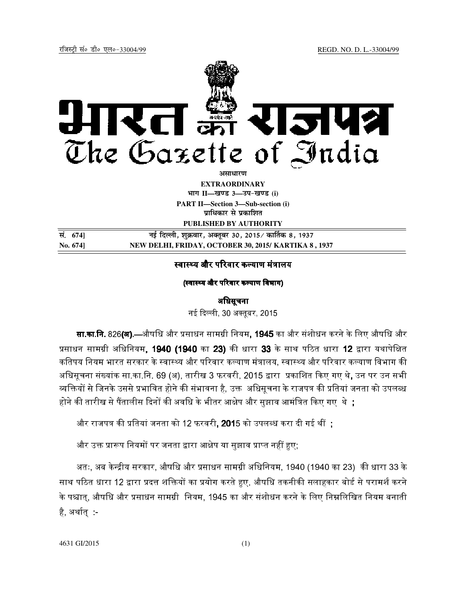

**EXTRAORDINARY Hkkx II—[k.M 3—mi&[k.M (i)**

**PART II—Section 3—Sub-section (i) प्राधिकार से प्रकाशित** 

**PUBLISHED BY AUTHORITY**

| सं. 674]    | नई दिल्ली, शुक्रवार, अक्तूबर 30, 2015 ⁄ कार्तिक 8, 1937 |
|-------------|---------------------------------------------------------|
| $No. 674$ ] | NEW DELHI, FRIDAY, OCTOBER 30, 2015/ KARTIKA 8, 1937    |

## स्वास्थ्य और परिवार कल्याण मंत्रालय

(स्वास्थ्य और परिवार कल्याण विभाग)

### अिधसूचना

नई दिल्ली. 30 अक्तबर. 2015\_

**सा.का.नि.** 826**(अ).**—औषधि और प्रसाधन सामग्री नियम. **1945** का और संशोधन करने के लिए औषधि और प्रसाधन सामग्री अधिनियम. **1940 (1940** का **23)** की धारा **33** के साथ पठित धारा **12** द्वारा यथापेक्षित कतिपय नियम भारत सरकार के स्वास्थ्य और परिवार कल्याण मंत्रालय. स्वास्थ्य और परिवार कल्याण विभाग की अधिसचना संख्यांक सा.का.नि. 69 (अ), तारीख 3 फरवरी, 2015 द्वारा प्रकाशित किए गए थे, उन पर उन सभी व्यक्तियों से जिनके उससे प्रभावित होने की संभावना है. उक्त अधिसचना के राजपत्र की प्रतियां जनता को उपलब्ध होने की तारीख से पैंतालीस दिनों की अवधि के भीतर आक्षेप और सझाव आमंत्रित किए गए थे :

और राजपत्र की प्रतियां जनता को 12 फरवरी**. 201**5 को उपलब्ध करा दी गई थीं **:** 

और उक्त प्रारूप नियमों पर जनता द्वारा आक्षेप या सझाव प्राप्त नहीं हए: |

अतः, अब केन्द्रीय सरकार, औषधि और प्रसाधन सामग्री अधिनियम, 1940 (1940 का 23) की धारा 33 के साथ पठित धारा 12 द्वारा प्रदत्त शक्तियों का प्रयोग करते हुए. औषधि तकनीकी सलाहकार बोर्ड से परामर्श करने । के पश्चात. औषधि और प्रसाधन सामग्री नियम. 1945 का और संशोधन करने के लिए निम्नलिखित नियम बनाती है, अर्थात् :-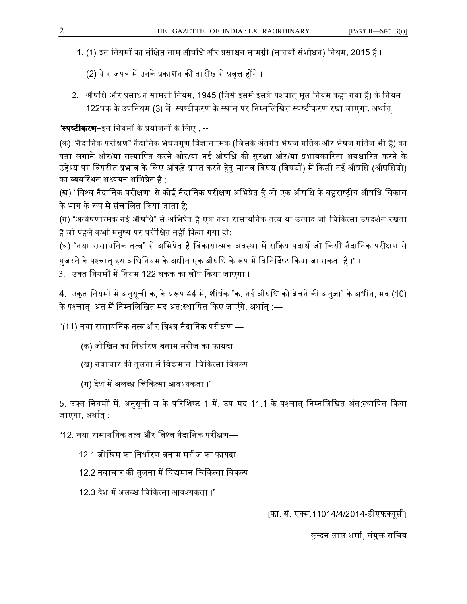- 1. (1) इन नियमों का संक्षिप्त नाम औषधि और प्रसाधन सामग्री (सातवॉं संशोधन) नियम. 2015 है ।
- (2) ये राजपत्र में उनके प्रकाशन की तारीख से प्रवत्त होंगे ।
- 2. औषधि और प्रसाधन सामग्री नियम, 1945 (जिसे इसमें इसके पश्चात् मूल नियम कहा गया है) के नियम 122घक के उपनियम (3) में, स्पष्टीकरण के स्थान पर निम्नलिखित स्पष्टीकरण रखा जाएगा, अर्थात् :

# "**स्पष्टीकरण**–इन नियमों के प्रयोजनों के लिए , --

(क) "नैदानिक परीक्षण" नैदानिक भेषजगण विज्ञानात्मक (जिसके अंतर्गत भेषज गतिक और भेषज गतिज भी है) का पता लगाने और/या सत्यापित करने और/या नई औषधि की सरक्षा और/या प्रभावकारिता अवधारित करने के उद्देश्य पर विपरीत प्रभाव के लिए आंकड़े प्राप्त करने हेत मानव विषय (विषयों) में किसी नई औषधि (औषधियों) का व्यवस्थित अध्ययन अभिप्रेत है ,

(ख) "विश्व नैदानिक परीक्षण" से कोई नैदानिक परीक्षण अभिप्रेत है जो एक औषधि के बहराष्टीय औषधि विकास के भाग के रूप में संचालित किया जाता है:

(ग) "अन्वेषणात्मक नई औषधि" से अभिप्रेत है एक नया रासायनिक तत्व या उत्पाद जो चिकित्सा उपदर्शन रखता है जो पहले कभी मनष्य पर परीक्षित नहीं किया गया हो:

(घ) "नया रासायनिक तत्व" से अभिप्रेत है विकासात्मक अवस्था में सक्रिय पदार्थ जो किसी नैदानिक परीक्षण से गजरने के पश्चात इस अधिनियम के अधीन एक औषधि के रूप में विनिर्दिष्ट किया जा सकता है ।" ।

3. उक्त नियमों में नियम 122 घकक का लोप किया जाएगा ।

4. उकत नियमों में अनसची क. के प्ररूप 44 में. शीर्षक "क. नई औषधि को बेचने की अनज्ञा" के अधीन. मद (10) के पश्चात्, अंत में निम्नलिखित मद अंत:स्थापित किए जाएंगे, अर्थात् :—

"(11) नया रासायनिक तत्व और विश्व नैदानिक परीक्षण —

- (क) जोखिम का निर्धारण बनाम मरीज का फायदा
- (ख) नवाचार की तलना में विद्यमान चिकित्सा विकल्प
- (ग) देश में अलब्ध चिकित्सा आवश्यकता ।"

5. उक्त नियमों में. अनसची म के परिशिष्ट 1 में. उप मद 11.1 के पश्चात निम्नलिखित अंत:स्थापित किया जाएगा, अर्थात् :-

"12. नया रासायनिक तत्व और विश्व नैदानिक परीक्षण—

- 12.1 जोखिम का निर्धारण बनाम मरीज का फायदा
- 12.2 नवाचार की तलना में विद्यमान चिकित्सा विकल्प
- 12.3 देश में अलब्ध चिकित्सा आवश्यकता ।"

[फा. सं. एक्स.11014/4/2014-डीएफक्यूसी]

कन्दन लाल शर्मा. संयक्त सचिव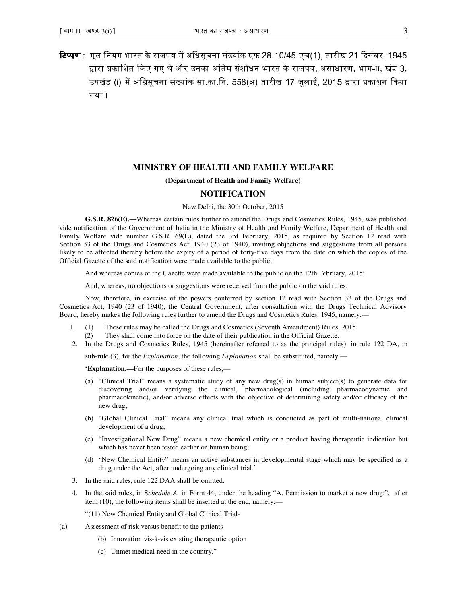**टिप्पण** : मूल नियम भारत के राजपत्र में अधिसूचना संख्यांक एफ 28-10/45-एच(1), तारीख 21 दिसंबर, 1945 द्वारा प्रकाशित किए गए थे और उनका अंतिम संशोधन भारत के राजपत्र, असाधारण, भाग- $\scriptstyle\rm II$ , खंड  $\scriptstyle\rm 3$ , उपखंड (i) में अधिसचना संख्यांक सा.का.नि. 558(अ) तारीख 17 जलाई. 2015 द्वारा प्रकाशन किया गया ।

#### **MINISTRY OF HEALTH AND FAMILY WELFARE**

#### **(Department of Health and Family Welfare)**

#### **NOTIFICATION**

New Delhi, the 30th October, 2015

**G.S.R. 826(E).—**Whereas certain rules further to amend the Drugs and Cosmetics Rules, 1945, was published vide notification of the Government of India in the Ministry of Health and Family Welfare, Department of Health and Family Welfare vide number G.S.R. 69(E), dated the 3rd February, 2015, as required by Section 12 read with Section 33 of the Drugs and Cosmetics Act, 1940 (23 of 1940), inviting objections and suggestions from all persons likely to be affected thereby before the expiry of a period of forty-five days from the date on which the copies of the Official Gazette of the said notification were made available to the public;

And whereas copies of the Gazette were made available to the public on the 12th February, 2015;

And, whereas, no objections or suggestions were received from the public on the said rules;

Now, therefore, in exercise of the powers conferred by section 12 read with Section 33 of the Drugs and Cosmetics Act, 1940 (23 of 1940), the Central Government, after consultation with the Drugs Technical Advisory Board, hereby makes the following rules further to amend the Drugs and Cosmetics Rules, 1945, namely:—

- 1. (1) These rules may be called the Drugs and Cosmetics (Seventh Amendment) Rules, 2015. (2) They shall come into force on the date of their publication in the Official Gazette.
- 2. In the Drugs and Cosmetics Rules, 1945 (hereinafter referred to as the principal rules), in rule 122 DA, in

sub-rule (3), for the *Explanation*, the following *Explanation* shall be substituted, namely:—

**'Explanation.—**For the purposes of these rules,—

- (a) "Clinical Trial" means a systematic study of any new drug(s) in human subject(s) to generate data for discovering and/or verifying the clinical, pharmacological (including pharmacodynamic and pharmacokinetic), and/or adverse effects with the objective of determining safety and/or efficacy of the new drug;
- (b) "Global Clinical Trial" means any clinical trial which is conducted as part of multi-national clinical development of a drug;
- (c) "Investigational New Drug" means a new chemical entity or a product having therapeutic indication but which has never been tested earlier on human being;
- (d) "New Chemical Entity" means an active substances in developmental stage which may be specified as a drug under the Act, after undergoing any clinical trial.'.
- 3. In the said rules, rule 122 DAA shall be omitted.
- 4. In the said rules, in S*chedule A,* in Form 44, under the heading "A. Permission to market a new drug:", after item (10), the following items shall be inserted at the end, namely:—
	- "(11) New Chemical Entity and Global Clinical Trial-
- (a) Assessment of risk versus benefit to the patients
	- (b) Innovation vis-à-vis existing therapeutic option
	- (c) Unmet medical need in the country."